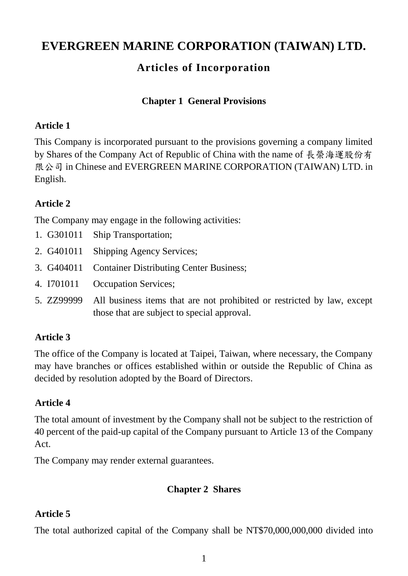# **EVERGREEN MARINE CORPORATION (TAIWAN) LTD.**

## **Articles of Incorporation**

#### **Chapter 1 General Provisions**

#### **Article 1**

This Company is incorporated pursuant to the provisions governing a company limited by Shares of the Company Act of Republic of China with the name of 長榮海運股份有 限公司 in Chinese and EVERGREEN MARINE CORPORATION (TAIWAN) LTD. in English.

#### **Article 2**

The Company may engage in the following activities:

- 1. G301011 Ship Transportation;
- 2. G401011 Shipping Agency Services;
- 3. G404011 Container Distributing Center Business;
- 4. I701011 Occupation Services;
- 5. ZZ99999 All business items that are not prohibited or restricted by law, except those that are subject to special approval.

#### **Article 3**

The office of the Company is located at Taipei, Taiwan, where necessary, the Company may have branches or offices established within or outside the Republic of China as decided by resolution adopted by the Board of Directors.

#### **Article 4**

The total amount of investment by the Company shall not be subject to the restriction of 40 percent of the paid-up capital of the Company pursuant to Article 13 of the Company Act.

The Company may render external guarantees.

#### **Chapter 2 Shares**

#### **Article 5**

The total authorized capital of the Company shall be NT\$70,000,000,000 divided into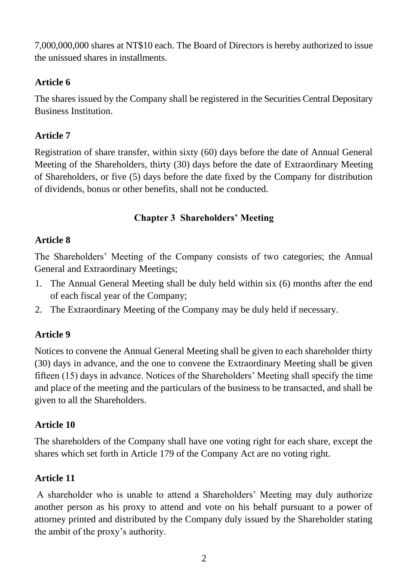7,000,000,000 shares at NT\$10 each. The Board of Directors is hereby authorized to issue the unissued shares in installments.

### **Article 6**

The shares issued by the Company shall be registered in the Securities Central Depositary Business Institution.

### **Article 7**

Registration of share transfer, within sixty (60) days before the date of Annual General Meeting of the Shareholders, thirty (30) days before the date of Extraordinary Meeting of Shareholders, or five (5) days before the date fixed by the Company for distribution of dividends, bonus or other benefits, shall not be conducted.

#### **Chapter 3 Shareholders' Meeting**

#### **Article 8**

The Shareholders' Meeting of the Company consists of two categories; the Annual General and Extraordinary Meetings;

- 1. The Annual General Meeting shall be duly held within six (6) months after the end of each fiscal year of the Company;
- 2. The Extraordinary Meeting of the Company may be duly held if necessary.

#### **Article 9**

Notices to convene the Annual General Meeting shall be given to each shareholder thirty (30) days in advance, and the one to convene the Extraordinary Meeting shall be given fifteen (15) days in advance. Notices of the Shareholders' Meeting shall specify the time and place of the meeting and the particulars of the business to be transacted, and shall be given to all the Shareholders.

#### **Article 10**

The shareholders of the Company shall have one voting right for each share, except the shares which set forth in Article 179 of the Company Act are no voting right.

#### **Article 11**

A shareholder who is unable to attend a Shareholders' Meeting may duly authorize another person as his proxy to attend and vote on his behalf pursuant to a power of attorney printed and distributed by the Company duly issued by the Shareholder stating the ambit of the proxy's authority.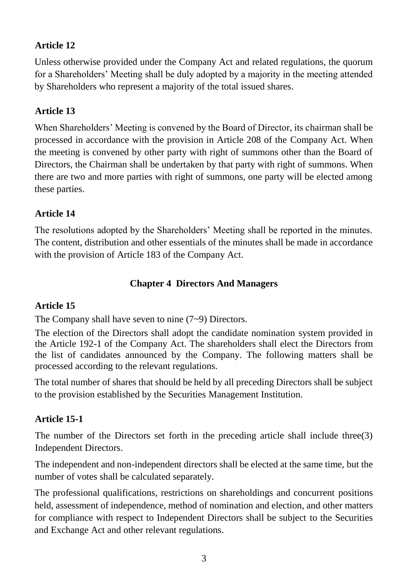### **Article 12**

Unless otherwise provided under the Company Act and related regulations, the quorum for a Shareholders' Meeting shall be duly adopted by a majority in the meeting attended by Shareholders who represent a majority of the total issued shares.

#### **Article 13**

When Shareholders' Meeting is convened by the Board of Director, its chairman shall be processed in accordance with the provision in Article 208 of the Company Act. When the meeting is convened by other party with right of summons other than the Board of Directors, the Chairman shall be undertaken by that party with right of summons. When there are two and more parties with right of summons, one party will be elected among these parties.

#### **Article 14**

The resolutions adopted by the Shareholders' Meeting shall be reported in the minutes. The content, distribution and other essentials of the minutes shall be made in accordance with the provision of Article 183 of the Company Act.

#### **Chapter 4 Directors And Managers**

#### **Article 15**

The Company shall have seven to nine (7~9) Directors.

The election of the Directors shall adopt the candidate nomination system provided in the Article 192-1 of the Company Act. The shareholders shall elect the Directors from the list of candidates announced by the Company. The following matters shall be processed according to the relevant regulations.

The total number of shares that should be held by all preceding Directors shall be subject to the provision established by the Securities Management Institution.

#### **Article 15-1**

The number of the Directors set forth in the preceding article shall include three(3) Independent Directors.

The independent and non-independent directors shall be elected at the same time, but the number of votes shall be calculated separately.

The professional qualifications, restrictions on shareholdings and concurrent positions held, assessment of independence, method of nomination and election, and other matters for compliance with respect to Independent Directors shall be subject to the Securities and Exchange Act and other relevant regulations.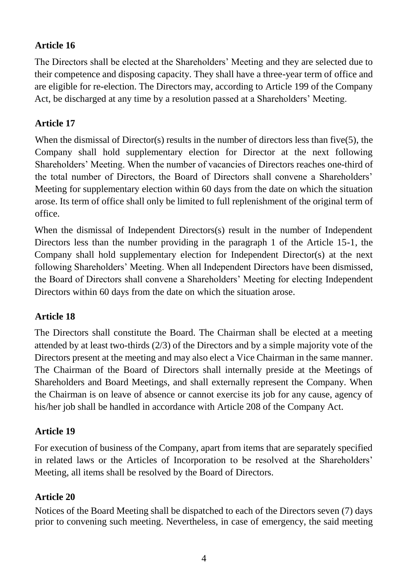#### **Article 16**

The Directors shall be elected at the Shareholders' Meeting and they are selected due to their competence and disposing capacity. They shall have a three-year term of office and are eligible for re-election. The Directors may, according to Article 199 of the Company Act, be discharged at any time by a resolution passed at a Shareholders' Meeting.

#### **Article 17**

When the dismissal of Director(s) results in the number of directors less than five(5), the Company shall hold supplementary election for Director at the next following Shareholders' Meeting. When the number of vacancies of Directors reaches one-third of the total number of Directors, the Board of Directors shall convene a Shareholders' Meeting for supplementary election within 60 days from the date on which the situation arose. Its term of office shall only be limited to full replenishment of the original term of office.

When the dismissal of Independent Directors(s) result in the number of Independent Directors less than the number providing in the paragraph 1 of the Article 15-1, the Company shall hold supplementary election for Independent Director(s) at the next following Shareholders' Meeting. When all Independent Directors have been dismissed, the Board of Directors shall convene a Shareholders' Meeting for electing Independent Directors within 60 days from the date on which the situation arose.

#### **Article 18**

The Directors shall constitute the Board. The Chairman shall be elected at a meeting attended by at least two-thirds (2/3) of the Directors and by a simple majority vote of the Directors present at the meeting and may also elect a Vice Chairman in the same manner. The Chairman of the Board of Directors shall internally preside at the Meetings of Shareholders and Board Meetings, and shall externally represent the Company. When the Chairman is on leave of absence or cannot exercise its job for any cause, agency of his/her job shall be handled in accordance with Article 208 of the Company Act.

#### **Article 19**

For execution of business of the Company, apart from items that are separately specified in related laws or the Articles of Incorporation to be resolved at the Shareholders' Meeting, all items shall be resolved by the Board of Directors.

#### **Article 20**

Notices of the Board Meeting shall be dispatched to each of the Directors seven (7) days prior to convening such meeting. Nevertheless, in case of emergency, the said meeting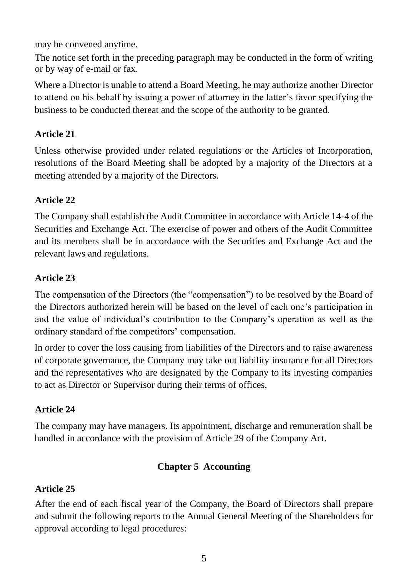may be convened anytime.

The notice set forth in the preceding paragraph may be conducted in the form of writing or by way of e-mail or fax.

Where a Director is unable to attend a Board Meeting, he may authorize another Director to attend on his behalf by issuing a power of attorney in the latter's favor specifying the business to be conducted thereat and the scope of the authority to be granted.

### **Article 21**

Unless otherwise provided under related regulations or the Articles of Incorporation, resolutions of the Board Meeting shall be adopted by a majority of the Directors at a meeting attended by a majority of the Directors.

### **Article 22**

The Company shall establish the Audit Committee in accordance with Article 14-4 of the Securities and Exchange Act. The exercise of power and others of the Audit Committee and its members shall be in accordance with the Securities and Exchange Act and the relevant laws and regulations.

### **Article 23**

The compensation of the Directors (the "compensation") to be resolved by the Board of the Directors authorized herein will be based on the level of each one's participation in and the value of individual's contribution to the Company's operation as well as the ordinary standard of the competitors' compensation.

In order to cover the loss causing from liabilities of the Directors and to raise awareness of corporate governance, the Company may take out liability insurance for all Directors and the representatives who are designated by the Company to its investing companies to act as Director or Supervisor during their terms of offices.

## **Article 24**

The company may have managers. Its appointment, discharge and remuneration shall be handled in accordance with the provision of Article 29 of the Company Act.

## **Chapter 5 Accounting**

## **Article 25**

After the end of each fiscal year of the Company, the Board of Directors shall prepare and submit the following reports to the Annual General Meeting of the Shareholders for approval according to legal procedures: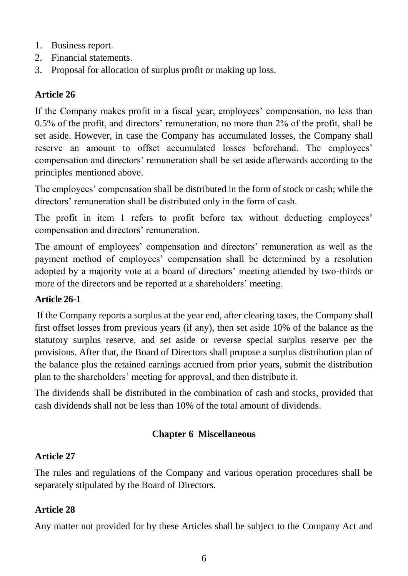- 1. Business report.
- 2. Financial statements.
- 3. Proposal for allocation of surplus profit or making up loss.

#### **Article 26**

If the Company makes profit in a fiscal year, employees' compensation, no less than 0.5% of the profit, and directors' remuneration, no more than 2% of the profit, shall be set aside. However, in case the Company has accumulated losses, the Company shall reserve an amount to offset accumulated losses beforehand. The employees' compensation and directors' remuneration shall be set aside afterwards according to the principles mentioned above.

The employees' compensation shall be distributed in the form of stock or cash; while the directors' remuneration shall be distributed only in the form of cash.

The profit in item 1 refers to profit before tax without deducting employees' compensation and directors' remuneration.

The amount of employees' compensation and directors' remuneration as well as the payment method of employees' compensation shall be determined by a resolution adopted by a majority vote at a board of directors' meeting attended by two-thirds or more of the directors and be reported at a shareholders' meeting.

#### **Article 26-1**

If the Company reports a surplus at the year end, after clearing taxes, the Company shall first offset losses from previous years (if any), then set aside 10% of the balance as the statutory surplus reserve, and set aside or reverse special surplus reserve per the provisions. After that, the Board of Directors shall propose a surplus distribution plan of the balance plus the retained earnings accrued from prior years, submit the distribution plan to the shareholders' meeting for approval, and then distribute it.

The dividends shall be distributed in the combination of cash and stocks, provided that cash dividends shall not be less than 10% of the total amount of dividends.

#### **Chapter 6 Miscellaneous**

#### **Article 27**

The rules and regulations of the Company and various operation procedures shall be separately stipulated by the Board of Directors.

#### **Article 28**

Any matter not provided for by these Articles shall be subject to the Company Act and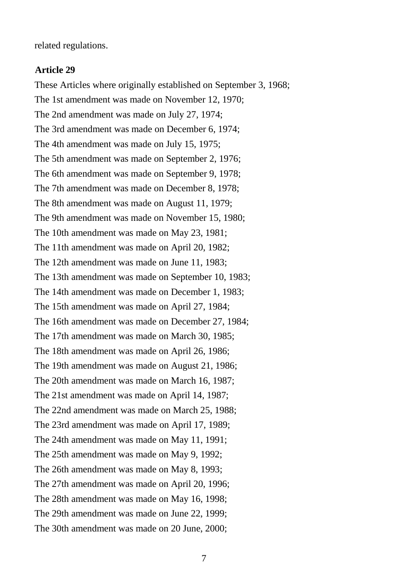related regulations.

#### **Article 29**

These Articles where originally established on September 3, 1968; The 1st amendment was made on November 12, 1970; The 2nd amendment was made on July 27, 1974; The 3rd amendment was made on December 6, 1974; The 4th amendment was made on July 15, 1975; The 5th amendment was made on September 2, 1976; The 6th amendment was made on September 9, 1978; The 7th amendment was made on December 8, 1978; The 8th amendment was made on August 11, 1979; The 9th amendment was made on November 15, 1980; The 10th amendment was made on May 23, 1981; The 11th amendment was made on April 20, 1982; The 12th amendment was made on June 11, 1983; The 13th amendment was made on September 10, 1983; The 14th amendment was made on December 1, 1983; The 15th amendment was made on April 27, 1984; The 16th amendment was made on December 27, 1984; The 17th amendment was made on March 30, 1985; The 18th amendment was made on April 26, 1986; The 19th amendment was made on August 21, 1986; The 20th amendment was made on March 16, 1987; The 21st amendment was made on April 14, 1987; The 22nd amendment was made on March 25, 1988; The 23rd amendment was made on April 17, 1989; The 24th amendment was made on May 11, 1991; The 25th amendment was made on May 9, 1992; The 26th amendment was made on May 8, 1993; The 27th amendment was made on April 20, 1996; The 28th amendment was made on May 16, 1998; The 29th amendment was made on June 22, 1999; The 30th amendment was made on 20 June, 2000;